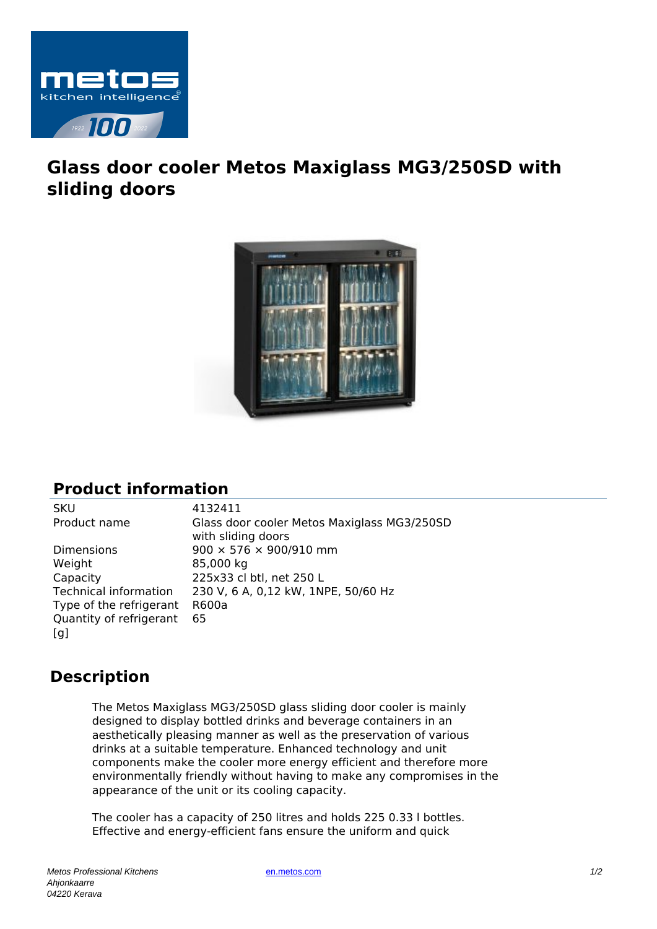

## **Glass door cooler Metos Maxiglass MG3/250SD with sliding doors**



## **Product information**

Dimensions 900  $\times$  576  $\times$  900/910 mm Weight 85,000 kg Capacity 225x33 cl btl, net 250 L Type of the refrigerant R600a Quantity of refrigerant  $[a]$ 65

SKU 4132411 Product name Glass door cooler Metos Maxiglass MG3/250SD with sliding doors Technical information 230 V, 6 A, 0,12 kW, 1NPE, 50/60 Hz

## **Description**

The Metos Maxiglass MG3/250SD glass sliding door cooler is mainly designed to display bottled drinks and beverage containers in an aesthetically pleasing manner as well as the preservation of various drinks at a suitable temperature. Enhanced technology and unit components make the cooler more energy efficient and therefore more environmentally friendly without having to make any compromises in the appearance of the unit or its cooling capacity.

The cooler has a capacity of 250 litres and holds 225 0.33 l bottles. Effective and energy-efficient fans ensure the uniform and quick